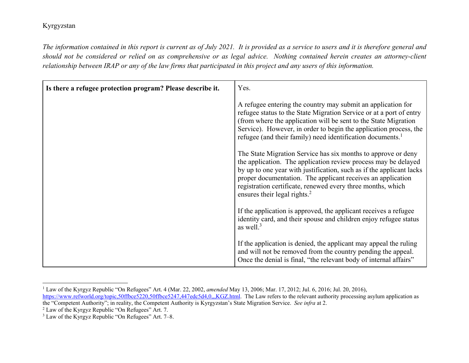*The information contained in this report is current as of July 2021. It is provided as a service to users and it is therefore general and should not be considered or relied on as comprehensive or as legal advice. Nothing contained herein creates an attorney-client relationship between IRAP or any of the law firms that participated in this project and any users of this information.* 

| Is there a refugee protection program? Please describe it. | Yes.                                                                                                                                                                                                                                                                                                                                                                              |
|------------------------------------------------------------|-----------------------------------------------------------------------------------------------------------------------------------------------------------------------------------------------------------------------------------------------------------------------------------------------------------------------------------------------------------------------------------|
|                                                            | A refugee entering the country may submit an application for<br>refugee status to the State Migration Service or at a port of entry<br>(from where the application will be sent to the State Migration<br>Service). However, in order to begin the application process, the<br>refugee (and their family) need identification documents. <sup>1</sup>                             |
|                                                            | The State Migration Service has six months to approve or deny<br>the application. The application review process may be delayed<br>by up to one year with justification, such as if the applicant lacks<br>proper documentation. The applicant receives an application<br>registration certificate, renewed every three months, which<br>ensures their legal rights. <sup>2</sup> |
|                                                            | If the application is approved, the applicant receives a refugee<br>identity card, and their spouse and children enjoy refugee status<br>as well. $3$                                                                                                                                                                                                                             |
|                                                            | If the application is denied, the applicant may appeal the ruling<br>and will not be removed from the country pending the appeal.<br>Once the denial is final, "the relevant body of internal affairs"                                                                                                                                                                            |

<sup>1</sup> Law of the Kyrgyz Republic "On Refugees" Art. 4 (Mar. 22, 2002, *amended* May 13, 2006; Mar. 17, 2012; Jul. 6, 2016; Jul. 20, 2016), https://www.refworld.org/topic,50ffbce5220,50ffbce5247,447edc5d4,0,,,KGZ.html</u>. The Law refers to the relevant authority processing asylum application as the "Competent Authority"; in reality, the Competent Authority is Kyrgyzstan's State Migration Service. *See infra* at 2. 2 Law of the Kyrgyz Republic "On Refugees" Art. 7.

 $3$  Law of the Kyrgyz Republic "On Refugees" Art. 7–8.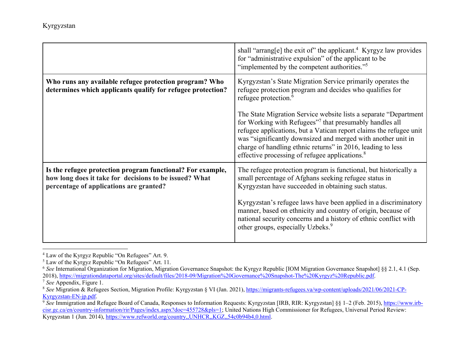|                                                                                                                                                                 | shall "arrang[e] the exit of" the applicant. <sup>4</sup> Kyrgyz law provides<br>for "administrative expulsion" of the applicant to be<br>"implemented by the competent authorities." <sup>5</sup>                                                                                                                                                                                                          |
|-----------------------------------------------------------------------------------------------------------------------------------------------------------------|-------------------------------------------------------------------------------------------------------------------------------------------------------------------------------------------------------------------------------------------------------------------------------------------------------------------------------------------------------------------------------------------------------------|
| Who runs any available refugee protection program? Who<br>determines which applicants qualify for refugee protection?                                           | Kyrgyzstan's State Migration Service primarily operates the<br>refugee protection program and decides who qualifies for<br>refugee protection. <sup>6</sup>                                                                                                                                                                                                                                                 |
|                                                                                                                                                                 | The State Migration Service website lists a separate "Department"<br>for Working with Refugees" <sup>7</sup> that presumably handles all<br>refugee applications, but a Vatican report claims the refugee unit<br>was "significantly downsized and merged with another unit in<br>charge of handling ethnic returns" in 2016, leading to less<br>effective processing of refugee applications. <sup>8</sup> |
| Is the refugee protection program functional? For example,<br>how long does it take for decisions to be issued? What<br>percentage of applications are granted? | The refugee protection program is functional, but historically a<br>small percentage of Afghans seeking refugee status in<br>Kyrgyzstan have succeeded in obtaining such status.                                                                                                                                                                                                                            |
|                                                                                                                                                                 | Kyrgyzstan's refugee laws have been applied in a discriminatory<br>manner, based on ethnicity and country of origin, because of<br>national security concerns and a history of ethnic conflict with<br>other groups, especially Uzbeks. <sup>9</sup>                                                                                                                                                        |

<sup>4</sup> Law of the Kyrgyz Republic "On Refugees" Art. 9.

<sup>5</sup> Law of the Kyrgyz Republic "On Refugees" Art. 11.

<sup>6</sup> *See* International Organization for Migration, Migration Governance Snapshot: the Kyrgyz Republic [IOM Migration Governance Snapshot] §§ 2.1, 4.1 (Sep. 2018), https://migrationdataportal.org/sites/default/files/2018-09/Migration%20Governance%20Snapshot-The%20Kyrgyz%20Republic.pdf.

*See* Appendix, Figure 1. 8

<sup>&</sup>lt;sup>8</sup> See Migration & Refugees Section, Migration Profile: Kyrgyzstan § VI (Jan. 2021), https://migrants-refugees.va/wp-content/uploads/2021/06/2021-CP-Kyrgyzstan-EN-jp.pdf. 9

<sup>&</sup>lt;sup>9</sup> See Immigration and Refugee Board of Canada, Responses to Information Requests: Kyrgyzstan [IRB, RIR: Kyrgyzstan] §§ 1–2 (Feb. 2015), https://www.irbcisr.gc.ca/en/country-information/rir/Pages/index.aspx?doc=455728&pls=1; United Nations High Commissioner for Refugees, Universal Period Review: Kyrgyzstan 1 (Jun. 2014), https://www.refworld.org/country,,UNHCR,,KGZ,,54c0b94b4,0.html.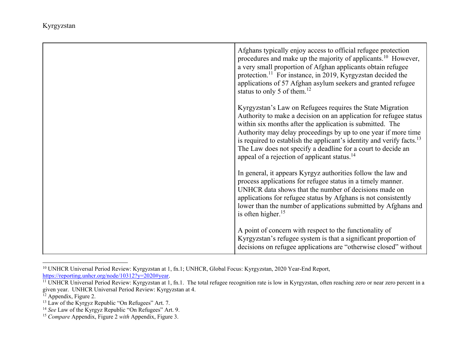| Afghans typically enjoy access to official refugee protection<br>procedures and make up the majority of applicants. <sup>10</sup> However,<br>a very small proportion of Afghan applicants obtain refugee<br>protection. <sup>11</sup> For instance, in 2019, Kyrgyzstan decided the<br>applications of 57 Afghan asylum seekers and granted refugee<br>status to only 5 of them. $^{12}$                                                                                      |
|--------------------------------------------------------------------------------------------------------------------------------------------------------------------------------------------------------------------------------------------------------------------------------------------------------------------------------------------------------------------------------------------------------------------------------------------------------------------------------|
| Kyrgyzstan's Law on Refugees requires the State Migration<br>Authority to make a decision on an application for refugee status<br>within six months after the application is submitted. The<br>Authority may delay proceedings by up to one year if more time<br>is required to establish the applicant's identity and verify facts. <sup>13</sup><br>The Law does not specify a deadline for a court to decide an<br>appeal of a rejection of applicant status. <sup>14</sup> |
| In general, it appears Kyrgyz authorities follow the law and<br>process applications for refugee status in a timely manner.<br>UNHCR data shows that the number of decisions made on<br>applications for refugee status by Afghans is not consistently<br>lower than the number of applications submitted by Afghans and<br>is often higher. $15$                                                                                                                              |
| A point of concern with respect to the functionality of<br>Kyrgyzstan's refugee system is that a significant proportion of<br>decisions on refugee applications are "otherwise closed" without                                                                                                                                                                                                                                                                                 |

<sup>10</sup> UNHCR Universal Period Review: Kyrgyzstan at 1, fn.1; UNHCR, Global Focus: Kyrgyzstan, 2020 Year-End Report, https://reporting.unhcr.org/node/10312?y=2020#year.

<sup>&</sup>lt;sup>11</sup> UNHCR Universal Period Review: Kyrgyzstan at 1, fn.1. The total refugee recognition rate is low in Kyrgyzstan, often reaching zero or near zero percent in a given year. UNHCR Universal Period Review: Kyrgyzstan at 4.

<sup>&</sup>lt;sup>12</sup> Appendix, Figure 2.

 $13$  Law of the Kyrgyz Republic "On Refugees" Art. 7.

<sup>14</sup> *See* Law of the Kyrgyz Republic "On Refugees" Art. 9. 15 *Compare* Appendix, Figure 2 *with* Appendix, Figure 3.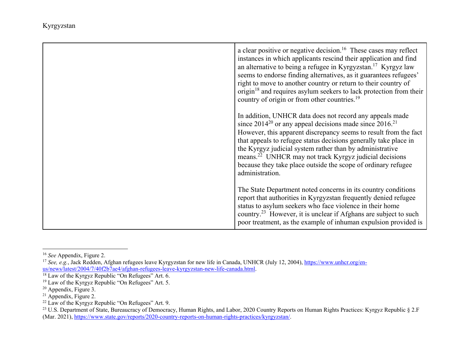| a clear positive or negative decision. <sup>16</sup> These cases may reflect<br>instances in which applicants rescind their application and find<br>an alternative to being a refugee in Kyrgyzstan. <sup>17</sup> Kyrgyz law<br>seems to endorse finding alternatives, as it guarantees refugees'<br>right to move to another country or return to their country of<br>origin $18$ and requires asylum seekers to lack protection from their<br>country of origin or from other countries. <sup>19</sup> |
|-----------------------------------------------------------------------------------------------------------------------------------------------------------------------------------------------------------------------------------------------------------------------------------------------------------------------------------------------------------------------------------------------------------------------------------------------------------------------------------------------------------|
| In addition, UNHCR data does not record any appeals made<br>since $2014^{20}$ or any appeal decisions made since $2016$ <sup>21</sup><br>However, this apparent discrepancy seems to result from the fact<br>that appeals to refugee status decisions generally take place in<br>the Kyrgyz judicial system rather than by administrative<br>means. <sup>22</sup> UNHCR may not track Kyrgyz judicial decisions<br>because they take place outside the scope of ordinary refugee<br>administration.       |
| The State Department noted concerns in its country conditions<br>report that authorities in Kyrgyzstan frequently denied refugee<br>status to asylum seekers who face violence in their home<br>country. <sup>23</sup> However, it is unclear if Afghans are subject to such<br>poor treatment, as the example of inhuman expulsion provided is                                                                                                                                                           |

<sup>16</sup> *See* Appendix, Figure 2.

<sup>&</sup>lt;sup>17</sup> *See, e.g.*, Jack Redden, Afghan refugees leave Kyrgyzstan for new life in Canada, UNHCR (July 12, 2004), <u>https://www.unhcr.org/en-</u> us/news/latest/2004/7/40f2b7ae4/afghan-refugees-leave-kyrgyzstan-new-life-canada.html.

 $18$  Law of the Kyrgyz Republic "On Refugees" Art. 6.

 $19$  Law of the Kyrgyz Republic "On Refugees" Art. 5.

<sup>20</sup> Appendix, Figure 3.

<sup>&</sup>lt;sup>21</sup> Appendix, Figure 2.

 $22$  Law of the Kyrgyz Republic "On Refugees" Art. 9.

<sup>&</sup>lt;sup>23</sup> U.S. Department of State, Bureaucracy of Democracy, Human Rights, and Labor, 2020 Country Reports on Human Rights Practices: Kyrgyz Republic § 2.F (Mar. 2021), https://www.state.gov/reports/2020-country-reports-on-human-rights-practices/kyrgyzstan/.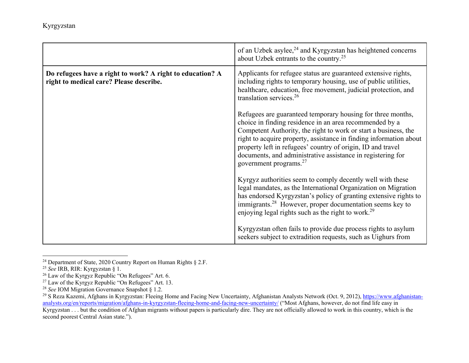|                                                                                                      | of an Uzbek asylee, <sup>24</sup> and Kyrgyzstan has heightened concerns<br>about Uzbek entrants to the country. <sup>25</sup>                                                                                                                                                                                                                                                                                                      |
|------------------------------------------------------------------------------------------------------|-------------------------------------------------------------------------------------------------------------------------------------------------------------------------------------------------------------------------------------------------------------------------------------------------------------------------------------------------------------------------------------------------------------------------------------|
| Do refugees have a right to work? A right to education? A<br>right to medical care? Please describe. | Applicants for refugee status are guaranteed extensive rights,<br>including rights to temporary housing, use of public utilities,<br>healthcare, education, free movement, judicial protection, and<br>translation services. <sup>26</sup>                                                                                                                                                                                          |
|                                                                                                      | Refugees are guaranteed temporary housing for three months,<br>choice in finding residence in an area recommended by a<br>Competent Authority, the right to work or start a business, the<br>right to acquire property, assistance in finding information about<br>property left in refugees' country of origin, ID and travel<br>documents, and administrative assistance in registering for<br>government programs. <sup>27</sup> |
|                                                                                                      | Kyrgyz authorities seem to comply decently well with these<br>legal mandates, as the International Organization on Migration<br>has endorsed Kyrgyzstan's policy of granting extensive rights to<br>immigrants. <sup>28</sup> However, proper documentation seems key to<br>enjoying legal rights such as the right to work. <sup>29</sup>                                                                                          |
|                                                                                                      | Kyrgyzstan often fails to provide due process rights to asylum<br>seekers subject to extradition requests, such as Uighurs from                                                                                                                                                                                                                                                                                                     |

<sup>&</sup>lt;sup>24</sup> Department of State, 2020 Country Report on Human Rights § 2.F.

<sup>25</sup> *See* IRB, RIR: Kyrgyzstan § 1.

 $26$  Law of the Kyrgyz Republic "On Refugees" Art. 6.

 $^{27}$  Law of the Kyrgyz Republic "On Refugees" Art. 13.

<sup>28</sup> *See* IOM Migration Governance Snapshot § 1.2.

<sup>&</sup>lt;sup>29</sup> S Reza Kazemi, Afghans in Kyrgyzstan: Fleeing Home and Facing New Uncertainty, Afghanistan Analysts Network (Oct. 9, 2012), https://www.afghanistananalysts.org/en/reports/migration/afghans-in-kyrgyzstan-fleeing-home-and-facing-new-uncertainty/ ("Most Afghans, however, do not find life easy in

 $Kyrgyzstan...$  but the condition of Afghan migrants without papers is particularly dire. They are not officially allowed to work in this country, which is the second poorest Central Asian state.").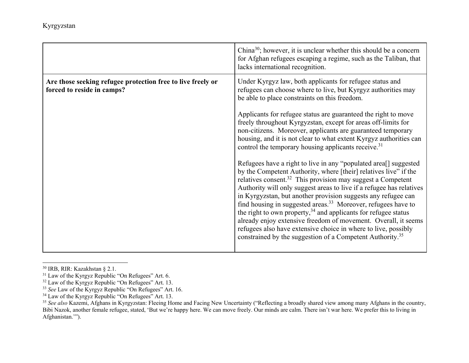|                                                                                           | China <sup>30</sup> ; however, it is unclear whether this should be a concern<br>for Afghan refugees escaping a regime, such as the Taliban, that<br>lacks international recognition.                                                                                                                                                                                                                                                                                                                                                                                                                                                                                                                                               |
|-------------------------------------------------------------------------------------------|-------------------------------------------------------------------------------------------------------------------------------------------------------------------------------------------------------------------------------------------------------------------------------------------------------------------------------------------------------------------------------------------------------------------------------------------------------------------------------------------------------------------------------------------------------------------------------------------------------------------------------------------------------------------------------------------------------------------------------------|
| Are those seeking refugee protection free to live freely or<br>forced to reside in camps? | Under Kyrgyz law, both applicants for refugee status and<br>refugees can choose where to live, but Kyrgyz authorities may<br>be able to place constraints on this freedom.                                                                                                                                                                                                                                                                                                                                                                                                                                                                                                                                                          |
|                                                                                           | Applicants for refugee status are guaranteed the right to move<br>freely throughout Kyrgyzstan, except for areas off-limits for<br>non-citizens. Moreover, applicants are guaranteed temporary<br>housing, and it is not clear to what extent Kyrgyz authorities can<br>control the temporary housing applicants receive. <sup>31</sup>                                                                                                                                                                                                                                                                                                                                                                                             |
|                                                                                           | Refugees have a right to live in any "populated area <sup>[]</sup> suggested<br>by the Competent Authority, where [their] relatives live" if the<br>relatives consent. <sup>32</sup> This provision may suggest a Competent<br>Authority will only suggest areas to live if a refugee has relatives<br>in Kyrgyzstan, but another provision suggests any refugee can<br>find housing in suggested areas. <sup>33</sup> Moreover, refugees have to<br>the right to own property, $34$ and applicants for refugee status<br>already enjoy extensive freedom of movement. Overall, it seems<br>refugees also have extensive choice in where to live, possibly<br>constrained by the suggestion of a Competent Authority. <sup>35</sup> |

<sup>&</sup>lt;sup>30</sup> IRB, RIR: Kazakhstan § 2.1.

 $31$  Law of the Kyrgyz Republic "On Refugees" Art. 6.

<sup>32</sup> Law of the Kyrgyz Republic "On Refugees" Art. 13. 33 *See* Law of the Kyrgyz Republic "On Refugees" Art. 16.

<sup>&</sup>lt;sup>34</sup> Law of the Kyrgyz Republic "On Refugees" Art. 13.

<sup>&</sup>lt;sup>35</sup> See also Kazemi, Afghans in Kyrgyzstan: Fleeing Home and Facing New Uncertainty ("Reflecting a broadly shared view among many Afghans in the country, Bibi Nazok, another female refugee, stated, 'But we're happy here. We can move freely. Our minds are calm. There isn't war here. We prefer this to living in Afghanistan.'").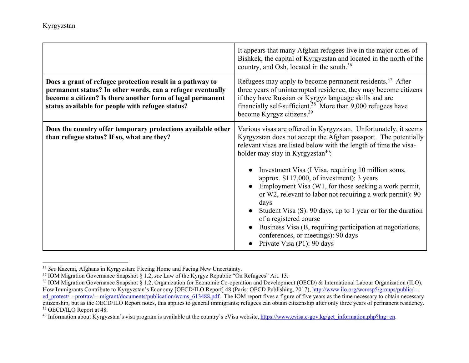|                                                                                                                                                                                                                                           | It appears that many Afghan refugees live in the major cities of<br>Bishkek, the capital of Kyrgyzstan and located in the north of the<br>country, and Osh, located in the south. <sup>36</sup>                                                                                                                                                                                                                         |
|-------------------------------------------------------------------------------------------------------------------------------------------------------------------------------------------------------------------------------------------|-------------------------------------------------------------------------------------------------------------------------------------------------------------------------------------------------------------------------------------------------------------------------------------------------------------------------------------------------------------------------------------------------------------------------|
| Does a grant of refugee protection result in a pathway to<br>permanent status? In other words, can a refugee eventually<br>become a citizen? Is there another form of legal permanent<br>status available for people with refugee status? | Refugees may apply to become permanent residents. <sup>37</sup> After<br>three years of uninterrupted residence, they may become citizens<br>if they have Russian or Kyrgyz language skills and are<br>financially self-sufficient. $38$ More than 9,000 refugees have<br>become Kyrgyz citizens. <sup>39</sup>                                                                                                         |
| Does the country offer temporary protections available other<br>than refugee status? If so, what are they?                                                                                                                                | Various visas are offered in Kyrgyzstan. Unfortunately, it seems<br>Kyrgyzstan does not accept the Afghan passport. The potentially<br>relevant visas are listed below with the length of time the visa-<br>holder may stay in Kyrgyzstan <sup>40</sup> :<br>Investment Visa (I Visa, requiring 10 million soms,<br>approx. \$117,000, of investment): 3 years<br>Employment Visa (W1, for those seeking a work permit, |
|                                                                                                                                                                                                                                           | or W2, relevant to labor not requiring a work permit): 90<br>days<br>Student Visa (S): 90 days, up to 1 year or for the duration<br>of a registered course<br>Business Visa (B, requiring participation at negotiations,<br>conferences, or meetings): 90 days<br>Private Visa (P1): 90 days                                                                                                                            |

<sup>36</sup> *See* Kazemi, Afghans in Kyrgyzstan: Fleeing Home and Facing New Uncertainty.

<sup>37</sup> IOM Migration Governance Snapshot § 1.2; *see* Law of the Kyrgyz Republic "On Refugees" Art. 13.

<sup>&</sup>lt;sup>38</sup> IOM Migration Governance Snapshot § 1.2; Organization for Economic Co-operation and Development (OECD) & International Labour Organization (ILO), How Immigrants Contribute to Kyrgyzstan's Economy [OECD/ILO Report] 48 (Paris: OECD Publishing, 2017), http://www.ilo.org/wcmsp5/groups/public/--ed\_protect/---protrav/---migrant/documents/publication/wcms\_613488.pdf. The IOM report fives a figure of five years as the time necessary to obtain necessary citizenship, but as the OECD/ILO Report notes, this applies to general immigrants; refugees can obtain citizenship after only three years of permanent residency. 39 OECD/ILO Report at 48.

<sup>&</sup>lt;sup>40</sup> Information about Kyrgyzstan's visa program is available at the country's eVisa website, https://www.evisa.e-gov.kg/get\_information.php?lng=en.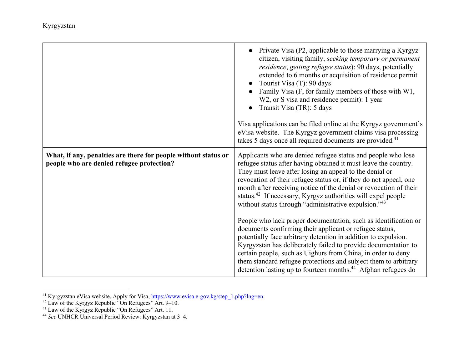| gyzstan |  |  |  |
|---------|--|--|--|
|         |  |  |  |
|         |  |  |  |

|                                                                                                             | • Private Visa (P2, applicable to those marrying a Kyrgyz<br>citizen, visiting family, seeking temporary or permanent<br>residence, getting refugee status): 90 days, potentially<br>extended to 6 months or acquisition of residence permit<br>Tourist Visa (T): 90 days<br>Family Visa (F, for family members of those with W1,<br>W2, or S visa and residence permit): 1 year<br>Transit Visa (TR): 5 days<br>Visa applications can be filed online at the Kyrgyz government's<br>eVisa website. The Kyrgyz government claims visa processing<br>takes 5 days once all required documents are provided. <sup>41</sup>                                                                                                                                                                                                                                                                                                                                               |
|-------------------------------------------------------------------------------------------------------------|------------------------------------------------------------------------------------------------------------------------------------------------------------------------------------------------------------------------------------------------------------------------------------------------------------------------------------------------------------------------------------------------------------------------------------------------------------------------------------------------------------------------------------------------------------------------------------------------------------------------------------------------------------------------------------------------------------------------------------------------------------------------------------------------------------------------------------------------------------------------------------------------------------------------------------------------------------------------|
| What, if any, penalties are there for people without status or<br>people who are denied refugee protection? | Applicants who are denied refugee status and people who lose<br>refugee status after having obtained it must leave the country.<br>They must leave after losing an appeal to the denial or<br>revocation of their refugee status or, if they do not appeal, one<br>month after receiving notice of the denial or revocation of their<br>status. <sup>42</sup> If necessary, Kyrgyz authorities will expel people<br>without status through "administrative expulsion." <sup>43</sup><br>People who lack proper documentation, such as identification or<br>documents confirming their applicant or refugee status,<br>potentially face arbitrary detention in addition to expulsion.<br>Kyrgyzstan has deliberately failed to provide documentation to<br>certain people, such as Uighurs from China, in order to deny<br>them standard refugee protections and subject them to arbitrary<br>detention lasting up to fourteen months. <sup>44</sup> Afghan refugees do |

<sup>&</sup>lt;sup>41</sup> Kyrgyzstan eVisa website, Apply for Visa, https://www.evisa.e-gov.kg/step\_1.php?lng=en.

 $\overline{ }$ 

 $42$  Law of the Kyrgyz Republic "On Refugees" Art. 9–10.

<sup>43</sup> Law of the Kyrgyz Republic "On Refugees" Art. 11. 44 *See* UNHCR Universal Period Review: Kyrgyzstan at 3–4.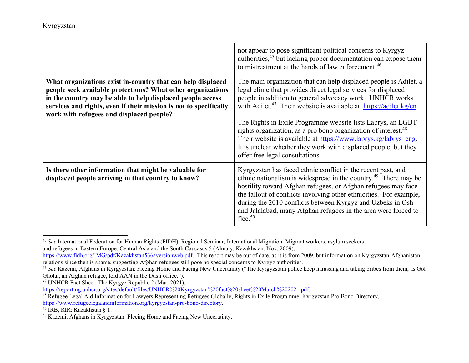|                                                                                                                                                                                                                                                                                                           | not appear to pose significant political concerns to Kyrgyz<br>authorities, <sup>45</sup> but lacking proper documentation can expose them<br>to mistreatment at the hands of law enforcement. <sup>46</sup>                                                                                                                                                                                                                                                                                                                                                                                            |
|-----------------------------------------------------------------------------------------------------------------------------------------------------------------------------------------------------------------------------------------------------------------------------------------------------------|---------------------------------------------------------------------------------------------------------------------------------------------------------------------------------------------------------------------------------------------------------------------------------------------------------------------------------------------------------------------------------------------------------------------------------------------------------------------------------------------------------------------------------------------------------------------------------------------------------|
| What organizations exist in-country that can help displaced<br>people seek available protections? What other organizations<br>in the country may be able to help displaced people access<br>services and rights, even if their mission is not to specifically<br>work with refugees and displaced people? | The main organization that can help displaced people is Adilet, a<br>legal clinic that provides direct legal services for displaced<br>people in addition to general advocacy work. UNHCR works<br>with Adilet. <sup>47</sup> Their website is available at https://adilet.kg/en.<br>The Rights in Exile Programme website lists Labrys, an LGBT<br>rights organization, as a pro bono organization of interest. <sup>48</sup><br>Their website is available at https://www.labrys.kg/labrys_eng.<br>It is unclear whether they work with displaced people, but they<br>offer free legal consultations. |
| Is there other information that might be valuable for<br>displaced people arriving in that country to know?                                                                                                                                                                                               | Kyrgyzstan has faced ethnic conflict in the recent past, and<br>ethnic nationalism is widespread in the country. <sup>49</sup> There may be<br>hostility toward Afghan refugees, or Afghan refugees may face<br>the fallout of conflicts involving other ethnicities. For example,<br>during the 2010 conflicts between Kyrgyz and Uzbeks in Osh<br>and Jalalabad, many Afghan refugees in the area were forced to<br>flee. $50$                                                                                                                                                                        |

<sup>45</sup> *See* International Federation for Human Rights (FIDH), Regional Seminar, International Migration: Migrant workers, asylum seekers

and refugees in Eastern Europe, Central Asia and the South Caucasus 5 (Almaty, Kazakhstan: Nov. 2009),

47 UNHCR Fact Sheet: The Kyrgyz Republic 2 (Mar. 2021),

https://reporting.unhcr.org/sites/default/files/UNHCR%20Kyrgyzstan%20fact%20sheet%20March%202021.pdf.

49 IRB, RIR: Kazakhstan § 1.

https://www.fidh.org/IMG/pdf/Kazakhstan536aversionweb.pdf. This report may be out of date, as it is from 2009, but information on Kyrgyzstan-Afghanistan relations since then is sparse, suggesting Afghan refugees still pose no special concerns to Kyrgyz authorities.

<sup>46</sup> *See* Kazemi, Afghans in Kyrgyzstan: Fleeing Home and Facing New Uncertainty ("The Kyrgyzstani police keep harassing and taking bribes from them, as Gol Ghotai, an Afghan refugee, told AAN in the Dusti office.").

<sup>&</sup>lt;sup>48</sup> Refugee Legal Aid Information for Lawyers Representing Refugees Globally, Rights in Exile Programme: Kyrgyzstan Pro Bono Directory, https://www.refugeelegalaidinformation.org/kyrgyzstan-pro-bono-directory.

<sup>50</sup> Kazemi, Afghans in Kyrgyzstan: Fleeing Home and Facing New Uncertainty.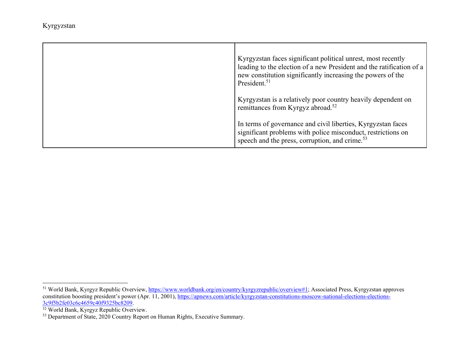| Kyrgyzstan faces significant political unrest, most recently<br>leading to the election of a new President and the ratification of a<br>new constitution significantly increasing the powers of the<br>President. <sup>51</sup> |
|---------------------------------------------------------------------------------------------------------------------------------------------------------------------------------------------------------------------------------|
| Kyrgyzstan is a relatively poor country heavily dependent on<br>remittances from Kyrgyz abroad. <sup>52</sup>                                                                                                                   |
| In terms of governance and civil liberties, Kyrgyzstan faces<br>significant problems with police misconduct, restrictions on<br>speech and the press, corruption, and crime. <sup>53</sup>                                      |

<sup>&</sup>lt;sup>51</sup> World Bank, Kyrgyz Republic Overview, https://www.worldbank.org/en/country/kyrgyzrepublic/overview#1; Associated Press, Kyrgyzstan approves constitution boosting president's power (Apr. 11, 2001), https://apnews.com/article/kyrgyzstan-constitutions-moscow-national-elections-elections-

<sup>3</sup>c9f5b2fe03c6c4659c40f9325bc8209. 52 World Bank, Kyrgyz Republic Overview.

<sup>&</sup>lt;sup>53</sup> Department of State, 2020 Country Report on Human Rights, Executive Summary.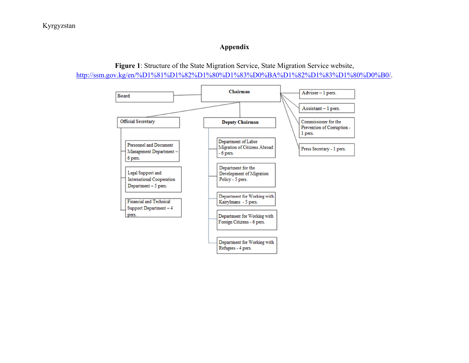## **Appendix**



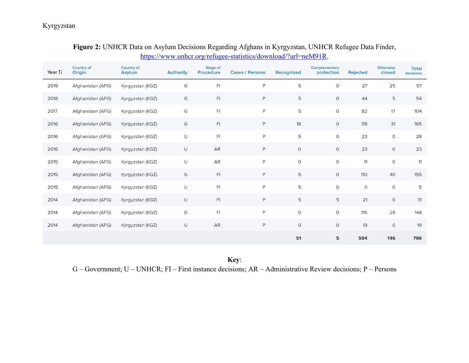# **Figure 2:** UNHCR Data on Asylum Decisions Regarding Afghans in Kyrgyzstan, UNHCR Refugee Data Finder, https://www.unhcr.org/refugee-statistics/download/?url=neM91R.

| Year $\uparrow$ <sup>1</sup> | <b>Country of</b><br>Origin | <b>Country of</b><br><b>Asylum</b> | <b>Authority</b> | <b>Stage of</b><br><b>Procedure</b> | <b>Cases / Persons</b> | Recognized  | Complementary<br>protection | <b>Rejected</b> | <b>Otherwise</b><br>closed | <b>Total</b><br>decisions |
|------------------------------|-----------------------------|------------------------------------|------------------|-------------------------------------|------------------------|-------------|-----------------------------|-----------------|----------------------------|---------------------------|
| 2019                         | Afghanistan (AFG)           | Kyrgyzstan (KGZ)                   | G                | F1                                  | $\mathsf{P}$           | 5           | $\circ$                     | 27              | 25                         | 57                        |
| 2018                         | Afghanistan (AFG)           | Kyrgyzstan (KGZ)                   | G                | $\mathsf{F} \mathsf{I}$             | $\mathsf P$            | 5           | $\circ$                     | 44              | 5                          | 54                        |
| 2017                         | Afghanistan (AFG)           | Kyrgyzstan (KGZ)                   | G                | $\mathsf{F} \mathsf{I}$             | $\mathsf{P}$           | 5           | $\mathsf{O}\xspace$         | 82              | 17                         | 104                       |
| 2016                         | Afghanistan (AFG)           | Kyrgyzstan (KGZ)                   | G                | $\mathsf{F} \mathsf{I}$             | $\mathsf P$            | 16          | $\circ$                     | 118             | 31                         | 165                       |
| 2016                         | Afghanistan (AFG)           | Kyrgyzstan (KGZ)                   | U                | $\mathsf{F} \mathsf{I}$             | $\mathsf P$            | 5           | $\circ$                     | 23              | $\circ$                    | 28                        |
| 2016                         | Afghanistan (AFG)           | Kyrgyzstan (KGZ)                   | $\cup$           | AR                                  | $\mathsf{P}$           | $\circ$     | $\circ$                     | 23              | $\circ$                    | 23                        |
| 2015                         | Afghanistan (AFG)           | Kyrgyzstan (KGZ)                   | U                | AR                                  | $\mathsf{P}$           | $\mathsf O$ | $\mathsf O$                 | 11              | $\circ$                    | 11                        |
| 2015                         | Afghanistan (AFG)           | Kyrgyzstan (KGZ)                   | G                | $\mathsf{F} \mathsf{I}$             | $\mathsf P$            | 5           | $\circ$                     | 110             | 40                         | 155                       |
| 2015                         | Afghanistan (AFG)           | Kyrgyzstan (KGZ)                   | U                | $\mathsf{F}$                        | $\mathsf{P}$           | 5           | 0                           | $\circ$         | $\circ$                    | 5                         |
| 2014                         | Afghanistan (AFG)           | Kyrgyzstan (KGZ)                   | U                | $\mathsf{F} \mathsf{I}$             | $\mathsf{P}$           | 5           | 5                           | 21              | $\circ$                    | 31                        |
| 2014                         | Afghanistan (AFG)           | Kyrgyzstan (KGZ)                   | G                | $\mathsf{F} \mathsf{I}$             | $\mathsf{P}$           | $\mathsf O$ | $\mathsf O$                 | 116             | 28                         | 144                       |
| 2014                         | Afghanistan (AFG)           | Kyrgyzstan (KGZ)                   | U                | ${\sf AR}$                          | $\mathsf P$            | $\circ$     | $\circ$                     | 19              | $\circ$                    | 19                        |
|                              |                             |                                    |                  |                                     |                        | 51          | 5                           | 594             | 146                        | 796                       |

**Key**: G – Government; U – UNHCR; FI – First instance decisions; AR – Administrative Review decisions; P – Persons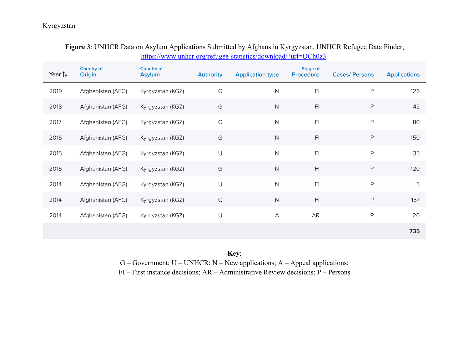| Year $\uparrow$ <sup>1</sup> | <b>Country of</b><br>Origin | <b>Country of</b><br><b>Asylum</b> | <b>Authority</b>           | <b>Application type</b> | Stage of<br>Procedure   | <b>Cases/ Persons</b> | <b>Applications</b> |
|------------------------------|-----------------------------|------------------------------------|----------------------------|-------------------------|-------------------------|-----------------------|---------------------|
| 2019                         | Afghanistan (AFG)           | Kyrgyzstan (KGZ)                   | G                          | $\mathsf N$             | F <sub>1</sub>          | P                     | 126                 |
| 2018                         | Afghanistan (AFG)           | Kyrgyzstan (KGZ)                   | G                          | $\mathsf N$             | F1                      | P                     | 42                  |
| 2017                         | Afghanistan (AFG)           | Kyrgyzstan (KGZ)                   | G                          | N                       | F1                      | P                     | 80                  |
| 2016                         | Afghanistan (AFG)           | Kyrgyzstan (KGZ)                   | G                          | $\mathsf N$             | F1                      | P                     | 150                 |
| 2015                         | Afghanistan (AFG)           | Kyrgyzstan (KGZ)                   | U                          | $\mathsf{N}$            | F <sub>1</sub>          | P                     | 35                  |
| 2015                         | Afghanistan (AFG)           | Kyrgyzstan (KGZ)                   | $\mathbb{G}% _{C}^{\ast }$ | $\mathsf N$             | F1                      | P                     | 120                 |
| 2014                         | Afghanistan (AFG)           | Kyrgyzstan (KGZ)                   | U                          | $\mathsf{N}$            | F <sub>l</sub>          | P                     | 5                   |
| 2014                         | Afghanistan (AFG)           | Kyrgyzstan (KGZ)                   | G                          | $\mathsf N$             | $\mathsf{F} \mathsf{I}$ | $\mathsf P$           | 157                 |
| 2014                         | Afghanistan (AFG)           | Kyrgyzstan (KGZ)                   | U                          | А                       | AR                      | P                     | 20                  |
|                              |                             |                                    |                            |                         |                         |                       | 735                 |

# **Figure 3**: UNHCR Data on Asylum Applications Submitted by Afghans in Kyrgyzstan, UNHCR Refugee Data Finder, https://www.unhcr.org/refugee-statistics/download/?url=OCh0z3.

**Key**:

 $G - Government$ ;  $U - UNHCR$ ;  $N - New applications$ ;  $A - Appendix$  applications;

FI – First instance decisions; AR – Administrative Review decisions; P – Persons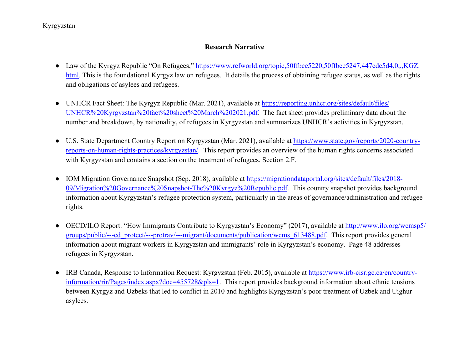## **Research Narrative**

- Law of the Kyrgyz Republic "On Refugees," https://www.refworld.org/topic,50ffbce5220,50ffbce5247,447edc5d4,0,,,KGZ. html. This is the foundational Kyrgyz law on refugees. It details the process of obtaining refugee status, as well as the rights and obligations of asylees and refugees.
- UNHCR Fact Sheet: The Kyrgyz Republic (Mar. 2021), available at https://reporting.unhcr.org/sites/default/files/ UNHCR%20Kyrgyzstan%20fact%20sheet%20March%202021.pdf. The fact sheet provides preliminary data about the number and breakdown, by nationality, of refugees in Kyrgyzstan and summarizes UNHCR's activities in Kyrgyzstan.
- U.S. State Department Country Report on Kyrgyzstan (Mar. 2021), available at **https://www.state.gov/reports/2020-country**reports-on-human-rights-practices/kyrgyzstan/. This report provides an overview of the human rights concerns associated with Kyrgyzstan and contains a section on the treatment of refugees, Section 2.F.
- IOM Migration Governance Snapshot (Sep. 2018), available at https://migrationdataportal.org/sites/default/files/2018-09/Migration%20Governance%20Snapshot-The%20Kyrgyz%20Republic.pdf. This country snapshot provides background information about Kyrgyzstan's refugee protection system, particularly in the areas of governance/administration and refugee rights.
- OECD/ILO Report: "How Immigrants Contribute to Kyrgyzstan's Economy" (2017), available at http://www.ilo.org/wcmsp5/ groups/public/---ed\_protect/---protrav/---migrant/documents/publication/wcms\_613488.pdf. This report provides general information about migrant workers in Kyrgyzstan and immigrants' role in Kyrgyzstan's economy. Page 48 addresses refugees in Kyrgyzstan.
- IRB Canada, Response to Information Request: Kyrgyzstan (Feb. 2015), available at https://www.irb-cisr.gc.ca/en/countryinformation/rir/Pages/index.aspx?doc=455728&pls=1. This report provides background information about ethnic tensions between Kyrgyz and Uzbeks that led to conflict in 2010 and highlights Kyrgyzstan's poor treatment of Uzbek and Uighur asylees.